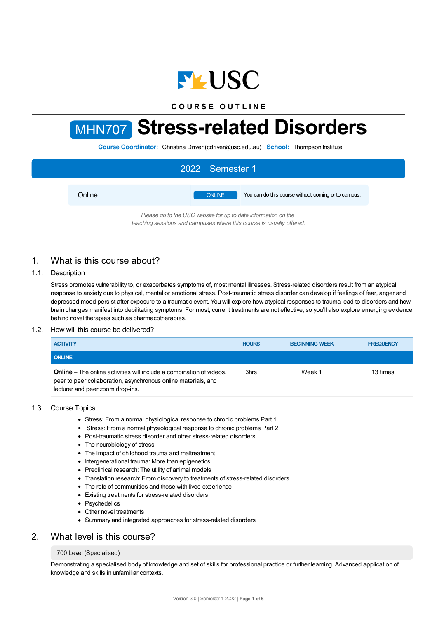

**C O U R S E O U T L I N E**

# MHN707 **Stress-related Disorders**

**Course Coordinator:** Christina Driver (cdriver@usc.edu.au) **School:** Thompson Institute

|        | 2022 Semester 1                                                     |
|--------|---------------------------------------------------------------------|
| Online | You can do this course without coming onto campus.<br><b>ONLINE</b> |
|        | Please go to the USC website for up to date information on the      |

*teaching sessions and campuses where this course is usually offered.*

# 1. What is this course about?

## 1.1. Description

Stress promotes vulnerability to, or exacerbates symptoms of, most mental illnesses. Stress-related disorders result from an atypical response to anxiety due to physical, mental or emotional stress. Post-traumatic stress disorder can develop if feelings of fear, anger and depressed mood persist after exposure to a traumatic event. You will explore how atypical responses to trauma lead to disorders and how brain changes manifest into debilitating symptoms. For most, current treatments are not effective, so you'll also explore emerging evidence behind novel therapies such as pharmacotherapies.

## 1.2. How will this course be delivered?

| <b>ACTIVITY</b>                                                                                                                                                                   | <b>HOURS</b> | <b>BEGINNING WEEK</b> | <b>FREQUENCY</b> |
|-----------------------------------------------------------------------------------------------------------------------------------------------------------------------------------|--------------|-----------------------|------------------|
| <b>ONLINE</b>                                                                                                                                                                     |              |                       |                  |
| <b>Online</b> – The online activities will include a combination of videos,<br>peer to peer collaboration, asynchronous online materials, and<br>lecturer and peer zoom drop-ins. | 3hrs         | Week 1                | 13 times         |

## 1.3. Course Topics

- Stress: From a normal physiological response to chronic problems Part 1
- Stress: From a normal physiological response to chronic problems Part 2
- Post-traumatic stress disorder and other stress-related disorders
- The neurobiology of stress
- The impact of childhood trauma and maltreatment
- Intergenerational trauma: More than epigenetics
- Preclinical research: The utility of animal models
- Translation research: From discovery to treatments of stress-related disorders
- The role of communities and those with lived experience
- Existing treatments for stress-related disorders
- Psychedelics
- Other novel treatments
- Summary and integrated approaches for stress-related disorders

## 2. What level is this course?

## 700 Level (Specialised)

Demonstrating a specialised body of knowledge and set of skills for professional practice or further learning. Advanced application of knowledge and skills in unfamiliar contexts.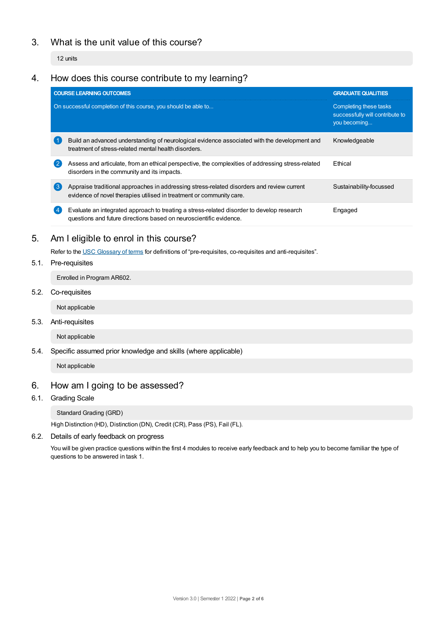# 3. What is the unit value of this course?

12 units

# 4. How does this course contribute to my learning?

|                                                                | <b>COURSE LEARNING OUTCOMES</b>                                                                                                                                   | <b>GRADUATE QUALITIES</b>                                                 |  |
|----------------------------------------------------------------|-------------------------------------------------------------------------------------------------------------------------------------------------------------------|---------------------------------------------------------------------------|--|
| On successful completion of this course, you should be able to |                                                                                                                                                                   | Completing these tasks<br>successfully will contribute to<br>you becoming |  |
|                                                                | Build an advanced understanding of neurological evidence associated with the development and<br>treatment of stress-related mental health disorders.              | Knowledgeable                                                             |  |
| $\mathbf{2}$                                                   | Assess and articulate, from an ethical perspective, the complexities of addressing stress-related<br>disorders in the community and its impacts.                  | <b>F</b> thical                                                           |  |
| $\left(3\right)$                                               | Appraise traditional approaches in addressing stress-related disorders and review current<br>evidence of novel therapies utilised in treatment or community care. | Sustainability-focussed                                                   |  |
|                                                                | Evaluate an integrated approach to treating a stress-related disorder to develop research<br>questions and future directions based on neuroscientific evidence.   | Engaged                                                                   |  |

# 5. Am Ieligible to enrol in this course?

Refer to the USC [Glossary](https://www.usc.edu.au/about/policies-and-procedures/glossary-of-terms-for-policy-and-procedures) of terms for definitions of "pre-requisites, co-requisites and anti-requisites".

## 5.1. Pre-requisites

Enrolled in Program AR602.

5.2. Co-requisites

Not applicable

5.3. Anti-requisites

Not applicable

5.4. Specific assumed prior knowledge and skills (where applicable)

Not applicable

## 6. How am Igoing to be assessed?

6.1. Grading Scale

Standard Grading (GRD)

High Distinction (HD), Distinction (DN), Credit (CR), Pass (PS), Fail (FL).

## 6.2. Details of early feedback on progress

You will be given practice questions within the first 4 modules to receive early feedback and to help you to become familiar the type of questions to be answered in task 1.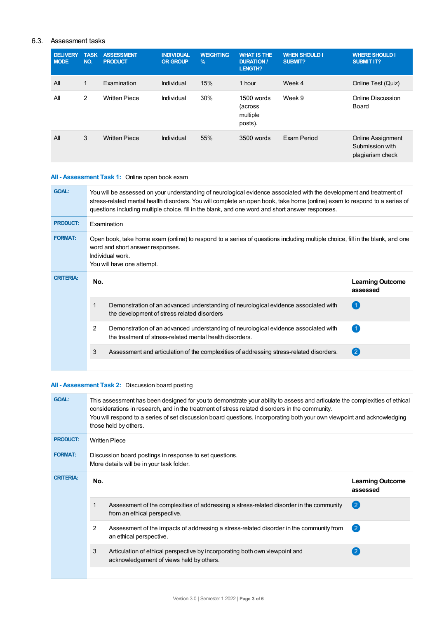## 6.3. Assessment tasks

| <b>DELIVERY</b><br><b>MODE</b> | <b>TASK</b><br>NO. | <b>ASSESSMENT</b><br><b>PRODUCT</b> | <b>INDIVIDUAL</b><br><b>OR GROUP</b> | <b>WEIGHTING</b><br>$\%$ | <b>WHAT IS THE</b><br><b>DURATION /</b><br>LENGTH? | <b>WHEN SHOULD I</b><br><b>SUBMIT?</b> | <b>WHERE SHOULD I</b><br><b>SUBMIT IT?</b>                      |
|--------------------------------|--------------------|-------------------------------------|--------------------------------------|--------------------------|----------------------------------------------------|----------------------------------------|-----------------------------------------------------------------|
| All                            | $\mathbf{1}$       | Examination                         | Individual                           | 15%                      | 1 hour                                             | Week 4                                 | Online Test (Quiz)                                              |
| All                            | 2                  | <b>Written Piece</b>                | Individual                           | 30%                      | 1500 words<br>(across<br>multiple<br>posts).       | Week 9                                 | Online Discussion<br>Board                                      |
| All                            | 3                  | <b>Written Piece</b>                | Individual                           | 55%                      | 3500 words                                         | Exam Period                            | <b>Online Assignment</b><br>Submission with<br>plagiarism check |

## **All - Assessment Task 1:** Online open book exam

| <b>GOAL:</b>     | You will be assessed on your understanding of neurological evidence associated with the development and treatment of<br>stress-related mental health disorders. You will complete an open book, take home (online) exam to respond to a series of<br>questions including multiple choice, fill in the blank, and one word and short answer responses. |                                                                                                                                                 |                                     |  |  |
|------------------|-------------------------------------------------------------------------------------------------------------------------------------------------------------------------------------------------------------------------------------------------------------------------------------------------------------------------------------------------------|-------------------------------------------------------------------------------------------------------------------------------------------------|-------------------------------------|--|--|
| <b>PRODUCT:</b>  | Examination                                                                                                                                                                                                                                                                                                                                           |                                                                                                                                                 |                                     |  |  |
| <b>FORMAT:</b>   | Open book, take home exam (online) to respond to a series of questions including multiple choice, fill in the blank, and one<br>word and short answer responses.<br>Individual work.<br>You will have one attempt.                                                                                                                                    |                                                                                                                                                 |                                     |  |  |
| <b>CRITERIA:</b> | No.                                                                                                                                                                                                                                                                                                                                                   |                                                                                                                                                 | <b>Learning Outcome</b><br>assessed |  |  |
|                  | 1                                                                                                                                                                                                                                                                                                                                                     | Demonstration of an advanced understanding of neurological evidence associated with<br>the development of stress related disorders              | $^{\prime}$ 1                       |  |  |
|                  | $\overline{2}$                                                                                                                                                                                                                                                                                                                                        | Demonstration of an advanced understanding of neurological evidence associated with<br>the treatment of stress-related mental health disorders. | $\overline{1}$                      |  |  |
|                  | 3                                                                                                                                                                                                                                                                                                                                                     | Assessment and articulation of the complexities of addressing stress-related disorders.                                                         | $\left( 2\right)$                   |  |  |
|                  |                                                                                                                                                                                                                                                                                                                                                       |                                                                                                                                                 |                                     |  |  |

## **All - Assessment Task 2:** Discussion board posting

| <b>GOAL:</b>     | This assessment has been designed for you to demonstrate your ability to assess and articulate the complexities of ethical<br>considerations in research, and in the treatment of stress related disorders in the community.<br>You will respond to a series of set discussion board questions, incorporating both your own viewpoint and acknowledging<br>those held by others. |                                                                                                                         |                                     |  |  |
|------------------|----------------------------------------------------------------------------------------------------------------------------------------------------------------------------------------------------------------------------------------------------------------------------------------------------------------------------------------------------------------------------------|-------------------------------------------------------------------------------------------------------------------------|-------------------------------------|--|--|
| <b>PRODUCT:</b>  | <b>Written Piece</b>                                                                                                                                                                                                                                                                                                                                                             |                                                                                                                         |                                     |  |  |
| <b>FORMAT:</b>   | Discussion board postings in response to set questions.<br>More details will be in your task folder.                                                                                                                                                                                                                                                                             |                                                                                                                         |                                     |  |  |
| <b>CRITERIA:</b> | No.                                                                                                                                                                                                                                                                                                                                                                              |                                                                                                                         | <b>Learning Outcome</b><br>assessed |  |  |
|                  | 1                                                                                                                                                                                                                                                                                                                                                                                | Assessment of the complexities of addressing a stress-related disorder in the community<br>from an ethical perspective. | $\left( 2 \right)$                  |  |  |
|                  | 2                                                                                                                                                                                                                                                                                                                                                                                | Assessment of the impacts of addressing a stress-related disorder in the community from<br>an ethical perspective.      | $\left( 2\right)$                   |  |  |
|                  | 3                                                                                                                                                                                                                                                                                                                                                                                | Articulation of ethical perspective by incorporating both own viewpoint and<br>acknowledgement of views held by others. | $\mathcal{P}$                       |  |  |
|                  |                                                                                                                                                                                                                                                                                                                                                                                  |                                                                                                                         |                                     |  |  |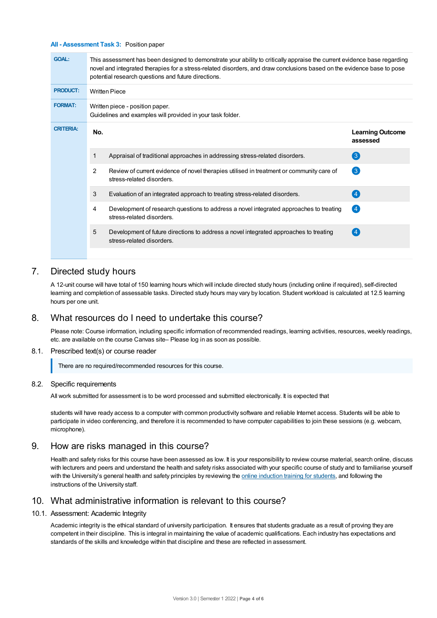#### **All - Assessment Task 3:** Position paper

| <b>GOAL:</b>     | This assessment has been designed to demonstrate your ability to critically appraise the current evidence base regarding<br>novel and integrated therapies for a stress-related disorders, and draw conclusions based on the evidence base to pose<br>potential research questions and future directions. |                                                                                                                       |                                     |  |  |
|------------------|-----------------------------------------------------------------------------------------------------------------------------------------------------------------------------------------------------------------------------------------------------------------------------------------------------------|-----------------------------------------------------------------------------------------------------------------------|-------------------------------------|--|--|
| <b>PRODUCT:</b>  | <b>Written Piece</b>                                                                                                                                                                                                                                                                                      |                                                                                                                       |                                     |  |  |
| <b>FORMAT:</b>   | Written piece - position paper.<br>Guidelines and examples will provided in your task folder.                                                                                                                                                                                                             |                                                                                                                       |                                     |  |  |
| <b>CRITERIA:</b> | No.                                                                                                                                                                                                                                                                                                       |                                                                                                                       | <b>Learning Outcome</b><br>assessed |  |  |
|                  | 1                                                                                                                                                                                                                                                                                                         | Appraisal of traditional approaches in addressing stress-related disorders.                                           | 3                                   |  |  |
|                  | 2                                                                                                                                                                                                                                                                                                         | Review of current evidence of novel therapies utilised in treatment or community care of<br>stress-related disorders. | 6                                   |  |  |
|                  | 3                                                                                                                                                                                                                                                                                                         | Evaluation of an integrated approach to treating stress-related disorders.                                            | $\left 4\right $                    |  |  |
|                  | 4                                                                                                                                                                                                                                                                                                         | Development of research questions to address a novel integrated approaches to treating<br>stress-related disorders.   | $\left( 4 \right)$                  |  |  |
|                  | 5                                                                                                                                                                                                                                                                                                         | Development of future directions to address a novel integrated approaches to treating<br>stress-related disorders.    |                                     |  |  |
|                  |                                                                                                                                                                                                                                                                                                           |                                                                                                                       |                                     |  |  |

# 7. Directed study hours

A 12-unit course will have total of 150 learning hours which will include directed study hours (including online if required), self-directed learning and completion of assessable tasks. Directed study hours may vary by location. Student workload is calculated at 12.5 learning hours per one unit.

## 8. What resources do I need to undertake this course?

Please note: Course information, including specific information of recommended readings, learning activities, resources, weekly readings, etc. are available on the course Canvas site– Please log in as soon as possible.

## 8.1. Prescribed text(s) or course reader

There are no required/recommended resources for this course.

#### 8.2. Specific requirements

All work submitted for assessment is to be word processed and submitted electronically. It is expected that

students will have ready access to a computer with common productivity software and reliable Internet access. Students will be able to participate in video conferencing, and therefore it is recommended to have computer capabilities to join these sessions (e.g. webcam, microphone).

## 9. How are risks managed in this course?

Health and safety risks for this course have been assessed as low. It is your responsibility to review course material, search online, discuss with lecturers and peers and understand the health and safety risks associated with your specific course of study and to familiarise yourself with the University's general health and safety principles by reviewing the online [induction](https://online.usc.edu.au/webapps/blackboard/content/listContentEditable.jsp?content_id=_632657_1&course_id=_14432_1) training for students, and following the instructions of the University staff.

## 10. What administrative information is relevant to this course?

#### 10.1. Assessment: Academic Integrity

Academic integrity is the ethical standard of university participation. It ensures that students graduate as a result of proving they are competent in their discipline. This is integral in maintaining the value of academic qualifications. Each industry has expectations and standards of the skills and knowledge within that discipline and these are reflected in assessment.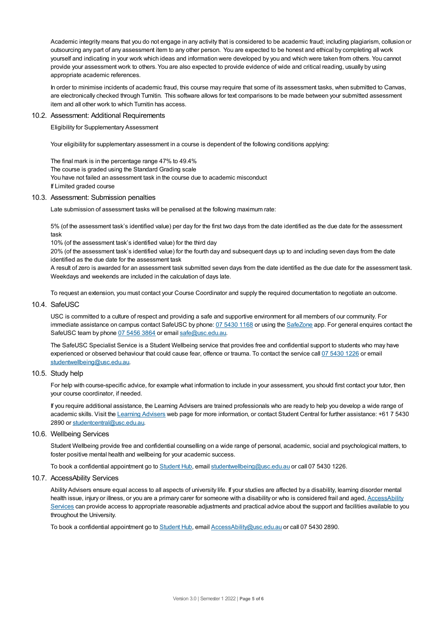Academic integrity means that you do not engage in any activity that is considered to be academic fraud; including plagiarism, collusion or outsourcing any part of any assessment item to any other person. You are expected to be honest and ethical by completing all work yourself and indicating in your work which ideas and information were developed by you and which were taken from others. You cannot provide your assessment work to others.You are also expected to provide evidence of wide and critical reading, usually by using appropriate academic references.

In order to minimise incidents of academic fraud, this course may require that some of its assessment tasks, when submitted to Canvas, are electronically checked through Turnitin. This software allows for text comparisons to be made between your submitted assessment item and all other work to which Turnitin has access.

#### 10.2. Assessment: Additional Requirements

Eligibility for Supplementary Assessment

Your eligibility for supplementary assessment in a course is dependent of the following conditions applying:

The final mark is in the percentage range 47% to 49.4% The course is graded using the Standard Grading scale You have not failed an assessment task in the course due to academic misconduct If Limited graded course

## 10.3. Assessment: Submission penalties

Late submission of assessment tasks will be penalised at the following maximum rate:

5% (of the assessment task's identified value) per day for the first two days from the date identified as the due date for the assessment task

10% (of the assessment task's identified value) for the third day

20% (of the assessment task's identified value) for the fourth day and subsequent days up to and including seven days from the date identified as the due date for the assessment task

A result of zero is awarded for an assessment task submitted seven days from the date identified as the due date for the assessment task. Weekdays and weekends are included in the calculation of days late.

To request an extension, you must contact your Course Coordinator and supply the required documentation to negotiate an outcome.

#### 10.4. SafeUSC

USC is committed to a culture of respect and providing a safe and supportive environment for all members of our community. For immediate assistance on campus contact SafeUSC by phone: 07 [5430](tel:07%205430%201168) 1168 or using the [SafeZone](https://www.safezoneapp.com) app. For general enquires contact the SafeUSC team by phone 07 [5456](tel:07%205456%203864) 3864 or email [safe@usc.edu.au](mailto:safe@usc.edu.au).

The SafeUSC Specialist Service is a Student Wellbeing service that provides free and confidential support to students who may have experienced or observed behaviour that could cause fear, offence or trauma. To contact the service call 07 [5430](tel:07%205430%201226) 1226 or email [studentwellbeing@usc.edu.au](mailto:studentwellbeing@usc.edu.au).

## 10.5. Study help

For help with course-specific advice, for example what information to include in your assessment, you should first contact your tutor, then your course coordinator, if needed.

If you require additional assistance, the Learning Advisers are trained professionals who are ready to help you develop a wide range of academic skills. Visit the Learning [Advisers](https://www.usc.edu.au/current-students/student-support/academic-and-study-support/learning-advisers) web page for more information, or contact Student Central for further assistance: +61 7 5430 2890 or [studentcentral@usc.edu.au](mailto:studentcentral@usc.edu.au).

## 10.6. Wellbeing Services

Student Wellbeing provide free and confidential counselling on a wide range of personal, academic, social and psychological matters, to foster positive mental health and wellbeing for your academic success.

To book a confidential appointment go to [Student](https://studenthub.usc.edu.au/) Hub, email [studentwellbeing@usc.edu.au](mailto:studentwellbeing@usc.edu.au) or call 07 5430 1226.

## 10.7. AccessAbility Services

Ability Advisers ensure equal access to all aspects of university life. If your studies are affected by a disability, learning disorder mental health issue, injury or illness, or you are a primary carer for someone with a disability or who is considered frail and aged, [AccessAbility](https://www.usc.edu.au/learn/student-support/accessability-services/documentation-requirements) Services can provide access to appropriate reasonable adjustments and practical advice about the support and facilities available to you throughout the University.

To book a confidential appointment go to [Student](https://studenthub.usc.edu.au/) Hub, email [AccessAbility@usc.edu.au](mailto:AccessAbility@usc.edu.au) or call 07 5430 2890.